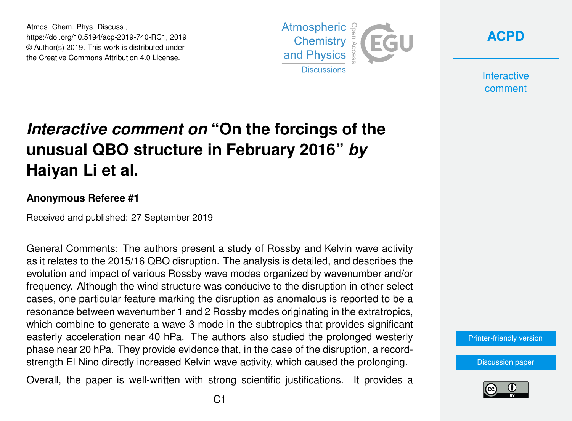Atmos. Chem. Phys. Discuss., https://doi.org/10.5194/acp-2019-740-RC1, 2019 © Author(s) 2019. This work is distributed under the Creative Commons Attribution 4.0 License.



**[ACPD](https://www.atmos-chem-phys-discuss.net/)**

**Interactive** comment

## *Interactive comment on* **"On the forcings of the unusual QBO structure in February 2016"** *by* **Haiyan Li et al.**

## **Anonymous Referee #1**

Received and published: 27 September 2019

General Comments: The authors present a study of Rossby and Kelvin wave activity as it relates to the 2015/16 QBO disruption. The analysis is detailed, and describes the evolution and impact of various Rossby wave modes organized by wavenumber and/or frequency. Although the wind structure was conducive to the disruption in other select cases, one particular feature marking the disruption as anomalous is reported to be a resonance between wavenumber 1 and 2 Rossby modes originating in the extratropics, which combine to generate a wave 3 mode in the subtropics that provides significant easterly acceleration near 40 hPa. The authors also studied the prolonged westerly phase near 20 hPa. They provide evidence that, in the case of the disruption, a recordstrength El Nino directly increased Kelvin wave activity, which caused the prolonging.

Overall, the paper is well-written with strong scientific justifications. It provides a



[Discussion paper](https://www.atmos-chem-phys-discuss.net/acp-2019-740)

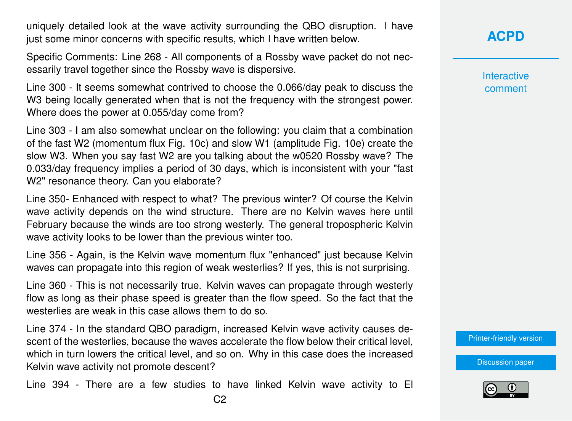uniquely detailed look at the wave activity surrounding the QBO disruption. I have just some minor concerns with specific results, which I have written below.

Specific Comments: Line 268 - All components of a Rossby wave packet do not necessarily travel together since the Rossby wave is dispersive.

Line 300 - It seems somewhat contrived to choose the 0.066/day peak to discuss the W3 being locally generated when that is not the frequency with the strongest power. Where does the power at 0.055/day come from?

Line 303 - I am also somewhat unclear on the following: you claim that a combination of the fast W2 (momentum flux Fig. 10c) and slow W1 (amplitude Fig. 10e) create the slow W3. When you say fast W2 are you talking about the w0520 Rossby wave? The 0.033/day frequency implies a period of 30 days, which is inconsistent with your "fast W2" resonance theory. Can you elaborate?

Line 350- Enhanced with respect to what? The previous winter? Of course the Kelvin wave activity depends on the wind structure. There are no Kelvin waves here until February because the winds are too strong westerly. The general tropospheric Kelvin wave activity looks to be lower than the previous winter too.

Line 356 - Again, is the Kelvin wave momentum flux "enhanced" just because Kelvin waves can propagate into this region of weak westerlies? If yes, this is not surprising.

Line 360 - This is not necessarily true. Kelvin waves can propagate through westerly flow as long as their phase speed is greater than the flow speed. So the fact that the westerlies are weak in this case allows them to do so.

Line 374 - In the standard QBO paradigm, increased Kelvin wave activity causes descent of the westerlies, because the waves accelerate the flow below their critical level, which in turn lowers the critical level, and so on. Why in this case does the increased Kelvin wave activity not promote descent?

Line 394 - There are a few studies to have linked Kelvin wave activity to El

## **[ACPD](https://www.atmos-chem-phys-discuss.net/)**

**Interactive** comment

[Printer-friendly version](https://www.atmos-chem-phys-discuss.net/acp-2019-740/acp-2019-740-RC1-print.pdf)

[Discussion paper](https://www.atmos-chem-phys-discuss.net/acp-2019-740)